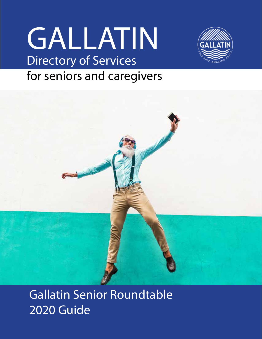# GALLATIN Directory of Services



## for seniors and caregivers



Gallatin Senior Roundtable 2020 Guide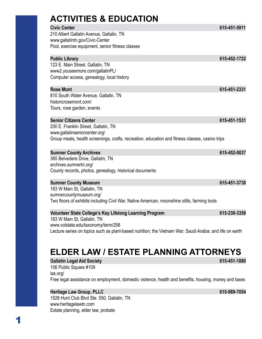| <b>ACTIVITIES &amp; EDUCATION</b> |  |
|-----------------------------------|--|
| <b>Civic Center</b>               |  |

210 Albert Gallatin Avenue, Gallatin, TN www.gallatintn.gov/Civic-Center Pool, exercise equipment, senior fitness classes

| <b>Public Library</b>                     | 615-452-1722 |
|-------------------------------------------|--------------|
| 123 E. Main Street, Gallatin, TN          |              |
| www2.youseemore.com/gallatinPL/           |              |
| Computer access, genealogy, local history |              |

#### **Rose Mont 615-451-2331**

810 South Water Avenue, Gallatin, TN historicrosemont.com/ Tours, rose garden, events

#### **Senior Citizens Center 615-451-1531**

200 E. Franklin Street, Gallatin, TN www.gallatinseniorcenter.org/ Group meals, health screenings, crafts, recreation, education and fitness classes, casino trips

#### **Sumner County Archives 615-452-0037**

365 Belvedere Drive, Gallatin, TN archives.sumnertn.org/ County records, photos, genealogy, historical documents

#### **Sumner County Museum 615-451-3738**

183 W Main St, Gallatin, TN sumnercountymuseum.org/ Two floors of exhibits including Civil War, Native American, moonshine stills, farming tools

#### Volunteer State College's Key Lifelong Learning Program 615-230-3358

183 W Main St, Gallatin, TN www.volstate.edu/taxonomy/term/258 Lecture series on topics such as plant-based nutrition; the Vietnam War; Saudi Arabia; and life on earth

### **ELDER LAW / ESTATE PLANNING ATTORNEYS**

**Gallatin Legal Aid Society 615-451-1880**

106 Public Square #109 las.org/ Free legal assistance on employment, domestic violence, health and benefits, housing, money and taxes

#### **Heritage Law Group, PLLC 615-989-7054**

1526 Hunt Club Blvd Ste. 550, Gallatin, TN www.heritagelawtn.com Estate planning, elder law, probate

**Civic Center 615-451-5911**

1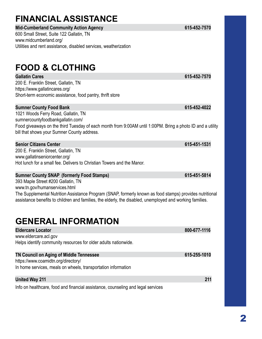## **FINANCIAL ASSISTANCE**

### Mid-Cumberland Community Action Agency **615-452-7570**

600 Small Street, Suite 122 Gallatin, TN www.midcumberland.org/ Utilities and rent assistance, disabled services, weatherization

### **FOOD & CLOTHING**

#### **Gallatin Cares 615-452-7570**

200 E. Franklin Street, Gallatin, TN https://www.gallatincares.org/ Short-term economic assistance, food pantry, thrift store

#### **Sumner County Food Bank** 615-452-4022

1021 Woods Ferry Road, Gallatin, TN sumnercountyfoodbankgallatin.com/ Food giveaways on the third Tuesday of each month from 9:00AM until 1:00PM. Bring a photo ID and a utility bill that shows your Sumner County address.

#### **Senior Citizens Center 615-451-1531**

200 E. Franklin Street, Gallatin, TN www.gallatinseniorcenter.org/ Hot lunch for a small fee. Delivers to Christian Towers and the Manor.

#### **Sumner County SNAP** (formerly Food Stamps) 615-451-5814

393 Maple Street #200 Gallatin, TN www.tn.gov/humanservices.html The Supplemental Nutrition Assistance Program (SNAP, formerly known as food stamps) provides nutritional assistance benefits to children and families, the elderly, the disabled, unemployed and working families.

### **GENERAL INFORMATION**

| <b>Eldercare Locator</b>                                                         | 800-677-1116 |
|----------------------------------------------------------------------------------|--------------|
| www.eldercare.acl.gov                                                            |              |
| Helps identify community resources for older adults nationwide.                  |              |
| <b>TN Council on Aging of Middle Tennessee</b>                                   | 615-255-1010 |
| https://www.coamidtn.org/directory/                                              |              |
| In home services, meals on wheels, transportation information                    |              |
| <b>United Way 211</b>                                                            | 211          |
| Info on healthcare, food and financial assistance, counseling and legal services |              |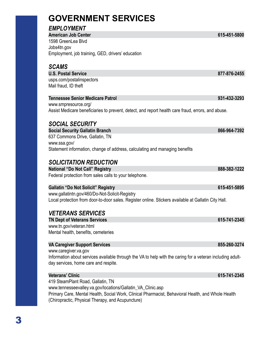### **GOVERNMENT SERVICES**

#### *EMPLOYMENT*

**American Job Center 615-451-5800** 1598 GreenLea Blvd Jobs4tn.gov Employment, job training, GED, drivers' education

#### *SCAMS*

**U.S. Postal Service 877-876-2455**  usps.com/postalinspectors

Mail fraud, ID theft

#### **Tennessee Senior Medicare Patrol 931-432-3293**

www.smpresource.org/ Assist Medicare beneficiaries to prevent, detect, and report health care fraud, errors, and abuse.

#### *SOCIAL SECURITY*

**Social Security Gallatin Branch 866-964-7392** 637 Commons Drive, Gallatin, TN www.ssa.gov/ Statement information, change of address, calculating and managing benefits

### *SOLICITATION REDUCTION*

**National "Do Not Call" Registry 888-382-1222** Federal protection from sales calls to your telephone.

#### Gallatin "Do Not Solicit" Registry **615-451-5895**

www.gallatintn.gov/460/Do-Not-Solicit-Registry Local protection from door-to-door sales. Register online. Stickers available at Gallatin City Hall.

#### *VETERANS SERVICES*

**TN Dept of Veterans Services** 615-741-2345 www.tn.gov/veteran.html Mental health, benefits, cemeteries

#### **VA Caregiver Support Services** 855-260-3274

www.caregiver.va.gov Information about services available through the VA to help with the caring for a veteran including adultday services, home care and respite.

#### **Veterans' Clinic 615-741-2345**

419 SteamPlant Road, Gallatin, TN www.tennesseevalley.va.gov/locations/Gallatin\_VA\_Clinic.asp Primary Care, Mental Health, Social Work, Clinical Pharmacist, Behavioral Health, and Whole Health (Chiropractic, Physical Therapy, and Acupuncture)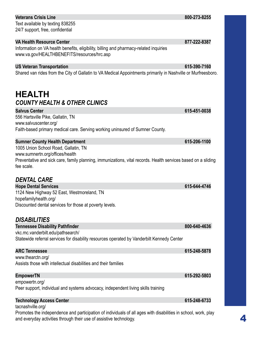| <b>Veterans Crisis Line</b>                                                                                    | 800-273-8255 |
|----------------------------------------------------------------------------------------------------------------|--------------|
| Text available by texting 838255                                                                               |              |
| 24/7 support, free, confidential                                                                               |              |
|                                                                                                                |              |
| <b>VA Health Resource Center</b>                                                                               | 877-222-8387 |
| Information on VA health benefits, eligibility, billing and pharmacy-related inquiries                         |              |
| www.va.gov/HEALTHBENEFITS/resources/hrc.asp                                                                    |              |
| <b>US Veteran Transportation</b>                                                                               | 615-390-7160 |
| Shared van rides from the City of Gallatin to VA Medical Appointments primarily in Nashville or Murfreesboro.  |              |
|                                                                                                                |              |
| <b>HEALTH</b>                                                                                                  |              |
| <b>COUNTY HEALTH &amp; OTHER CLINICS</b>                                                                       |              |
| <b>Salvus Center</b>                                                                                           | 615-451-0038 |
| 556 Hartsville Pike, Gallatin, TN                                                                              |              |
| www.salvuscenter.org/                                                                                          |              |
| Faith-based primary medical care. Serving working uninsured of Sumner County.                                  |              |
|                                                                                                                |              |
| <b>Sumner County Health Department</b>                                                                         | 615-206-1100 |
| 1005 Union School Road, Gallatin, TN                                                                           |              |
| www.sumnertn.org/offices/health                                                                                |              |
| Preventative and sick care, family planning, immunizations, vital records. Health services based on a sliding  |              |
| fee scale.                                                                                                     |              |
| <b>DENTAL CARE</b>                                                                                             |              |
|                                                                                                                | 615-644-4746 |
| <b>Hope Dental Services</b><br>1124 New Highway 52 East, Westmoreland, TN                                      |              |
| hopefamilyhealth.org/                                                                                          |              |
| Discounted dental services for those at poverty levels.                                                        |              |
|                                                                                                                |              |
| <b>DISABILITIES</b>                                                                                            |              |
| <b>Tennessee Disability Pathfinder</b>                                                                         | 800-640-4636 |
| vkc.mc.vanderbilt.edu/pathsearch/                                                                              |              |
| Statewide referral services for disability resources operated by Vanderbilt Kennedy Center                     |              |
| <b>ARC Tennessee</b>                                                                                           | 615-248-5878 |
| www.thearctn.org/                                                                                              |              |
| Assists those with intellectual disabilities and their families                                                |              |
|                                                                                                                |              |
| <b>EmpowerTN</b><br>empowertn.org/                                                                             | 615-292-5803 |
| Peer support, individual and systems advocacy, independent living skills training                              |              |
|                                                                                                                |              |
| <b>Technology Access Center</b>                                                                                | 615-248-6733 |
| tacnashville.org/                                                                                              |              |
| Promotes the independence and participation of individuals of all ages with disabilities in school, work, play |              |

and everyday activities through their use of assistive technology.

### 4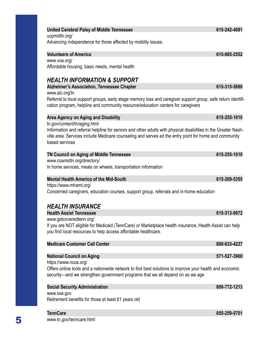### United Cerebral Palsy of Middle Tennessee 615-242-4091

ucpmidtn.org/ Advancing independence for those affected by mobility issues.

**Volunteers of America 615-885-2552** www.voa.org/ Affordable housing, basic needs, mental health

### *HEALTH INFORMATION & SUPPORT*

www.alz.org/tn Referral to local support groups, early stage memory loss and caregiver support group, safe return identification program, helpline and community resource/education centers for caregivers

Alzheimer's Association, Tennessee Chapter 615-315-5880

#### **Area Agency on Aging and Disability 615-255-1010**

tn.gov/content/tn/aging.html

Information and referral helpline for seniors and other adults with physical disabilities in the Greater Nashville area. Services include Medicare counseling and serves ad the entry point for home and community based services

#### **TN Council on Aging of Middle Tennessee 615-255-1010**

www.coamidtn.org/directory/ In home services, meals on wheels, transportation information

#### **Mental Health America of the Mid-South 615-269-5355**

https://www.mhamt.org/ Concerned caregivers, education courses, support group, referrals and in-home education

### *HEALTH INSURANCE*

**Health Assist Tennessee 615-313-9972** www.getcoveredtenn.org/

If you are NOT eligible for Medicaid (TennCare) or Marketplace health insurance, Health Assist can help you find local resources to help access affordable healthcare.

| <b>Medicare Customer Call Center</b>                                                                                                                                                      | 800-633-4227 |
|-------------------------------------------------------------------------------------------------------------------------------------------------------------------------------------------|--------------|
|                                                                                                                                                                                           |              |
| <b>National Council on Aging</b>                                                                                                                                                          | 571-527-3900 |
| https://www.ncoa.org/                                                                                                                                                                     |              |
| Offers online tools and a nationwide network to find best solutions to improve your health and economic<br>security—and we strengthen government programs that we all depend on as we age |              |
| <b>Social Security Administration</b>                                                                                                                                                     | 800-772-1213 |
| www.ssa.gov                                                                                                                                                                               |              |
| Retirement benefits for those at least 61 years old                                                                                                                                       |              |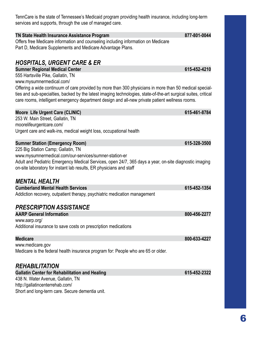TennCare is the state of Tennessee's Medicaid program providing health insurance, including long-term services and supports, through the use of managed care.

#### **TN State Health Insurance Assistance Program 877-801-0044**

Offers free Medicare information and counseling including information on Medicare Part D, Medicare Supplements and Medicare Advantage Plans.

#### *HOSPITALS, URGENT CARE & ER*

**Sumner Regional Medical Center 615-452-4210** 

555 Hartsville Pike, Gallatin, TN

www.mysumnermedical.com/

Offering a wide continuum of care provided by more than 300 physicians in more than 50 medical specialties and sub-specialties, backed by the latest imaging technologies, state-of-the-art surgical suites, critical care rooms, intelligent emergency department design and all-new private patient wellness rooms.

**Moore Life Urgent Care (CLINIC) 615-461-8784**

| <b>MODIE</b> LIFE DIGEIII CAIE (CLINIC)                                                                                                                                       | VIJ-4VI-VI V |
|-------------------------------------------------------------------------------------------------------------------------------------------------------------------------------|--------------|
| 253 W. Main Street, Gallatin, TN<br>moorelifeurgentcare.com/                                                                                                                  |              |
|                                                                                                                                                                               |              |
| Urgent care and walk-ins, medical weight loss, occupational health                                                                                                            |              |
| <b>Sumner Station (Emergency Room)</b>                                                                                                                                        | 615-328-3500 |
| 225 Big Station Camp; Gallatin, TN                                                                                                                                            |              |
| www.mysumnermedical.com/our-services/sumner-station-er                                                                                                                        |              |
| Adult and Pediatric Emergency Medical Services, open 24/7, 365 days a year, on-site diagnostic imaging<br>on-site laboratory for instant lab results, ER physicians and staff |              |
|                                                                                                                                                                               |              |

#### *MENTAL HEALTH*

**Cumberland Mental Health Services 615-452-1354** Addiction recovery, outpatient therapy, psychiatric medication management

#### *PRESCRIPTION ASSISTANCE*

| <b>AARP General Information</b>                                | 800-456-2277 |
|----------------------------------------------------------------|--------------|
| www.aarp.org/                                                  |              |
| Additional insurance to save costs on prescription medications |              |

| <b>Medicare</b>                                                                   | 800-633-4227 |
|-----------------------------------------------------------------------------------|--------------|
| www.medicare.gov                                                                  |              |
| Medicare is the federal health insurance program for: People who are 65 or older. |              |

#### *REHABILITATION*

| <b>Gallatin Center for Rehabilitation and Healing</b> | 615-452-2322 |
|-------------------------------------------------------|--------------|
| 438 N. Water Avenue, Gallatin, TN                     |              |
| http://gallatincenterrehab.com/                       |              |
| Short and long-term care. Secure dementia unit.       |              |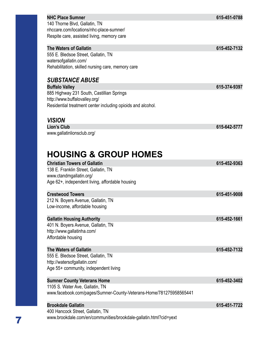|                                                                                                                                                                                                          | 615-451-0788                                                                                 |
|----------------------------------------------------------------------------------------------------------------------------------------------------------------------------------------------------------|----------------------------------------------------------------------------------------------|
| 140 Thorne Blvd, Gallatin, TN                                                                                                                                                                            |                                                                                              |
| nhccare.com/locations/nhc-place-sumner/                                                                                                                                                                  |                                                                                              |
| Respite care, assisted living, memory care                                                                                                                                                               |                                                                                              |
| <b>The Waters of Gallatin</b>                                                                                                                                                                            | 615-452-7132                                                                                 |
| 555 E. Bledsoe Street, Gallatin, TN                                                                                                                                                                      |                                                                                              |
| watersofgallatin.com/                                                                                                                                                                                    |                                                                                              |
| Rehabilitation, skilled nursing care, memory care                                                                                                                                                        |                                                                                              |
| <b>SUBSTANCE ABUSE</b>                                                                                                                                                                                   |                                                                                              |
| <b>Buffalo Valley</b>                                                                                                                                                                                    | 615-374-9397                                                                                 |
| 885 Highway 231 South, Castillian Springs                                                                                                                                                                |                                                                                              |
| http://www.buffalovalley.org/                                                                                                                                                                            |                                                                                              |
| Residential treatment center including opioids and alcohol.                                                                                                                                              |                                                                                              |
| <b>VISION</b>                                                                                                                                                                                            |                                                                                              |
| <b>Lion's Club</b>                                                                                                                                                                                       | 615-642-5777                                                                                 |
| www.gallatinlionsclub.org/                                                                                                                                                                               |                                                                                              |
| <b>Christian Towers of Gallatin</b>                                                                                                                                                                      |                                                                                              |
|                                                                                                                                                                                                          |                                                                                              |
| 138 E. Franklin Street, Gallatin, TN                                                                                                                                                                     |                                                                                              |
| www.ctandmgallatin.org/                                                                                                                                                                                  |                                                                                              |
| Age 62+, independent living, affordable housing                                                                                                                                                          |                                                                                              |
| <b>Crestwood Towers</b>                                                                                                                                                                                  |                                                                                              |
| 212 N. Boyers Avenue, Gallatin, TN                                                                                                                                                                       |                                                                                              |
| Low-income, affordable housing                                                                                                                                                                           |                                                                                              |
| <b>Gallatin Housing Authority</b>                                                                                                                                                                        |                                                                                              |
| 401 N. Boyers Avenue, Gallatin, TN                                                                                                                                                                       |                                                                                              |
| http://www.gallatinha.com/                                                                                                                                                                               |                                                                                              |
| Affordable housing                                                                                                                                                                                       |                                                                                              |
| <b>The Waters of Gallatin</b>                                                                                                                                                                            |                                                                                              |
| 555 E. Bledsoe Street, Gallatin, TN                                                                                                                                                                      |                                                                                              |
| http://watersofgallatin.com/                                                                                                                                                                             |                                                                                              |
| Age 55+ community, independent living                                                                                                                                                                    |                                                                                              |
| <b>Sumner County Veterans Home</b>                                                                                                                                                                       |                                                                                              |
| 1105 S. Water Ave, Gallatin, TN                                                                                                                                                                          |                                                                                              |
|                                                                                                                                                                                                          |                                                                                              |
|                                                                                                                                                                                                          |                                                                                              |
| www.facebook.com/pages/Sumner-County-Veterans-Home/781275958565441<br><b>Brookdale Gallatin</b><br>400 Hancock Street, Gallatin, TN<br>www.brookdale.com/en/communities/brookdale-gallatin.html?cid=yext | 615-452-9363<br>615-451-9008<br>615-452-1661<br>615-452-7132<br>615-452-3402<br>615-451-7722 |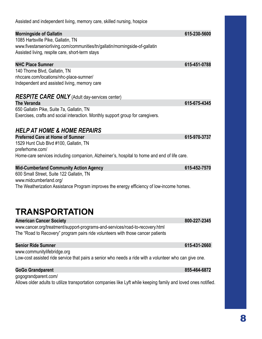| Assisted and independent living, memory care, skilled nursing, hospice                                 |              |
|--------------------------------------------------------------------------------------------------------|--------------|
| <b>Morningside of Gallatin</b>                                                                         | 615-230-5600 |
| 1085 Hartsville Pike, Gallatin, TN                                                                     |              |
| www.fivestarseniorliving.com/communities/tn/gallatin/morningside-of-gallatin                           |              |
| Assisted living, respite care, short-term stays                                                        |              |
| <b>NHC Place Sumner</b>                                                                                | 615-451-0788 |
| 140 Thorne Blvd, Gallatin, TN                                                                          |              |
| nhccare.com/locations/nhc-place-sumner/                                                                |              |
| Independent and assisted living, memory care                                                           |              |
| <b>RESPITE CARE ONLY</b> (Adult day-services center)                                                   |              |
| <b>The Veranda</b>                                                                                     | 615-675-4345 |
| 650 Gallatin Pike, Suite 7a, Gallatin, TN                                                              |              |
| Exercises, crafts and social interaction. Monthly support group for caregivers.                        |              |
| <b>HELP AT HOME &amp; HOME REPAIRS</b>                                                                 |              |
| <b>Preferred Care at Home of Sumner</b>                                                                | 615-970-3737 |
| 1529 Hunt Club Blvd #100, Gallatin, TN                                                                 |              |
| preferhome.com/                                                                                        |              |
|                                                                                                        |              |
| Home-care services including companion, Alzheimer's, hospital to home and end of life care.            |              |
| <b>Mid-Cumberland Community Action Agency</b>                                                          | 615-452-7570 |
| 600 Small Street, Suite 122 Gallatin, TN                                                               |              |
| www.midcumberland.org/                                                                                 |              |
| The Weatherization Assistance Program improves the energy efficiency of low-income homes.              |              |
|                                                                                                        |              |
|                                                                                                        |              |
| TRANSPORTATION                                                                                         |              |
| <b>American Cancer Society</b>                                                                         | 800-227-2345 |
| www.cancer.org/treatment/support-programs-and-services/road-to-recovery.html                           |              |
| The "Road to Recovery" program pairs ride volunteers with those cancer patients                        |              |
| <b>Senior Ride Sumner</b>                                                                              | 615-431-2660 |
| www.communitylifebridge.org                                                                            |              |
| Low-cost assisted ride service that pairs a senior who needs a ride with a volunteer who can give one. |              |
| <b>GoGo Grandparent</b>                                                                                | 855-464-6872 |
| gogograndparent.com/                                                                                   |              |